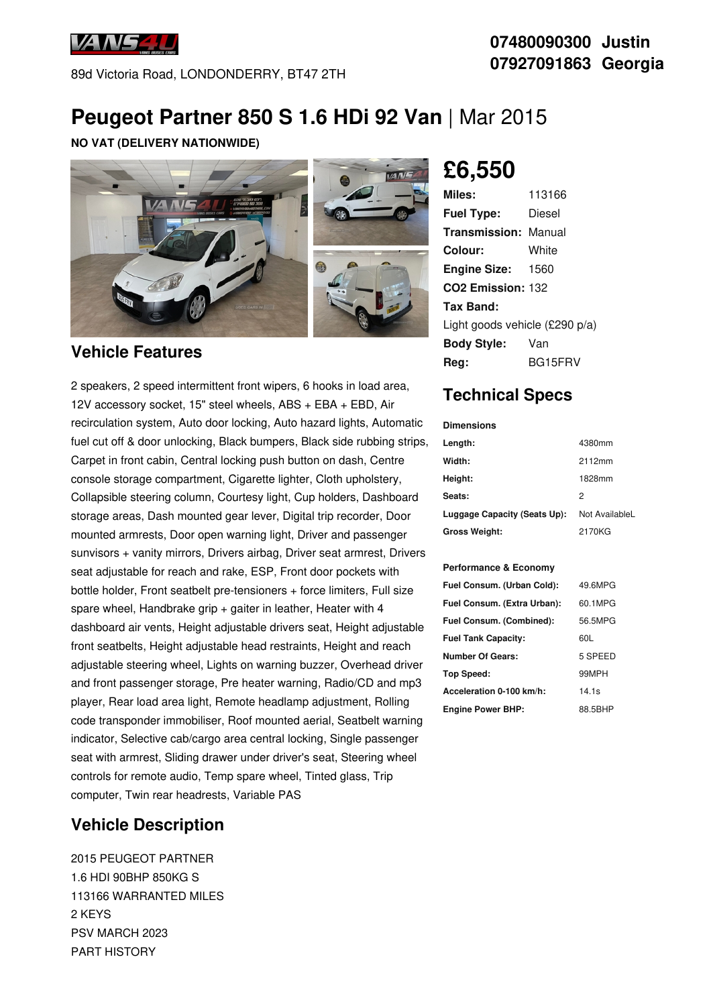

89d Victoria Road, LONDONDERRY, BT47 2TH

## **07480090300 Justin 07927091863 Georgia**

## **Peugeot Partner 850 S 1.6 HDi 92 Van** | Mar 2015

#### **NO VAT (DELIVERY NATIONWIDE)**



### **Vehicle Features**

2 speakers, 2 speed intermittent front wipers, 6 hooks in load area, 12V accessory socket, 15" steel wheels, ABS + EBA + EBD, Air recirculation system, Auto door locking, Auto hazard lights, Automatic fuel cut off & door unlocking, Black bumpers, Black side rubbing strips, Carpet in front cabin, Central locking push button on dash, Centre console storage compartment, Cigarette lighter, Cloth upholstery, Collapsible steering column, Courtesy light, Cup holders, Dashboard storage areas, Dash mounted gear lever, Digital trip recorder, Door mounted armrests, Door open warning light, Driver and passenger sunvisors + vanity mirrors, Drivers airbag, Driver seat armrest, Drivers seat adjustable for reach and rake, ESP, Front door pockets with bottle holder, Front seatbelt pre-tensioners + force limiters, Full size spare wheel, Handbrake grip + gaiter in leather, Heater with 4 dashboard air vents, Height adjustable drivers seat, Height adjustable front seatbelts, Height adjustable head restraints, Height and reach adjustable steering wheel, Lights on warning buzzer, Overhead driver and front passenger storage, Pre heater warning, Radio/CD and mp3 player, Rear load area light, Remote headlamp adjustment, Rolling code transponder immobiliser, Roof mounted aerial, Seatbelt warning indicator, Selective cab/cargo area central locking, Single passenger seat with armrest, Sliding drawer under driver's seat, Steering wheel controls for remote audio, Temp spare wheel, Tinted glass, Trip computer, Twin rear headrests, Variable PAS

### **Vehicle Description**

2015 PEUGEOT PARTNER 1.6 HDI 90BHP 850KG S 113166 WARRANTED MILES 2 KEYS PSV MARCH 2023 PART HISTORY

# **£6,550**

| 113166                         |  |  |
|--------------------------------|--|--|
| Diesel                         |  |  |
| <b>Transmission: Manual</b>    |  |  |
| White                          |  |  |
| <b>Engine Size: 1560</b>       |  |  |
| CO <sub>2</sub> Emission: 132  |  |  |
|                                |  |  |
| Light goods vehicle (£290 p/a) |  |  |
| Van                            |  |  |
| BG15FRV                        |  |  |
|                                |  |  |

### **Technical Specs**

#### **Dimensions**

| Length:                      | 4380mm         |
|------------------------------|----------------|
| Width:                       | 2112mm         |
| Height:                      | 1828mm         |
| Seats:                       | 2              |
| Luggage Capacity (Seats Up): | Not AvailableL |
| <b>Gross Weight:</b>         | 2170KG         |

#### **Performance & Economy**

| Fuel Consum. (Urban Cold):  | 49.6MPG |
|-----------------------------|---------|
| Fuel Consum. (Extra Urban): | 60.1MPG |
| Fuel Consum. (Combined):    | 56.5MPG |
| <b>Fuel Tank Capacity:</b>  | 60L     |
| Number Of Gears:            | 5 SPEED |
| <b>Top Speed:</b>           | 99MPH   |
| Acceleration 0-100 km/h:    | 14.1s   |
| <b>Engine Power BHP:</b>    | 88.5BHP |